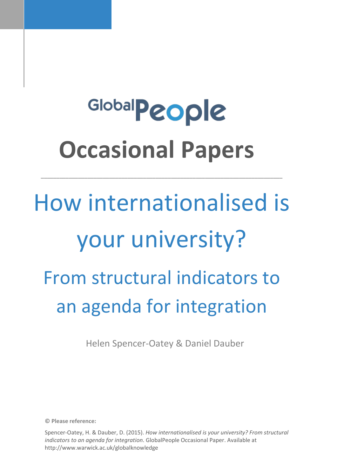# Global**People Occasional Papers**

**\_\_\_\_\_\_\_\_\_\_\_\_\_\_\_\_\_\_\_\_\_\_\_\_\_\_\_\_\_\_\_\_\_\_\_\_\_\_\_\_\_\_\_\_\_\_\_\_\_\_\_\_\_\_\_\_\_\_\_\_\_\_\_\_\_\_\_\_\_\_\_\_\_\_\_\_\_\_**

# How internationalised is your university? From structural indicators to an agenda for integration

Helen Spencer-Oatey & Daniel Dauber

**© Please reference:** 

Spencer-Oatey, H. & Dauber, D. (2015). *How internationalised is your university? From structural indicators to an agenda for integration*. GlobalPeople Occasional Paper. Available at http://www.warwick.ac.uk/globalknowledge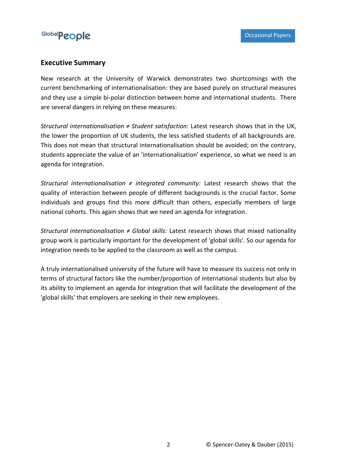

#### **Executive Summary**

New research at the University of Warwick demonstrates two shortcomings with the current benchmarking of internationalisation: they are based purely on structural measures and they use a simple bi-polar distinction between home and international students. There are several dangers in relying on these measures:

*Structural internationalisation ≠ Student satisfaction*: Latest research shows that in the UK, the lower the proportion of UK students, the less satisfied students of all backgrounds are. This does not mean that structural internationalisation should be avoided; on the contrary, students appreciate the value of an 'internationalisation' experience, so what we need is an agenda for integration.

*Structural internationalisation ≠ integrated community:* Latest research shows that the quality of interaction between people of different backgrounds is the crucial factor. Some individuals and groups find this more difficult than others, especially members of large national cohorts. This again shows that we need an agenda for integration.

*Structural internationalisation ≠ Global skills:* Latest research shows that mixed nationality group work is particularly important for the development of 'global skills'. So our agenda for integration needs to be applied to the classroom as well as the campus.

A truly internationalised university of the future will have to measure its success not only in terms of structural factors like the number/proportion of international students but also by its ability to implement an agenda for integration that will facilitate the development of the 'global skills' that employers are seeking in their new employees.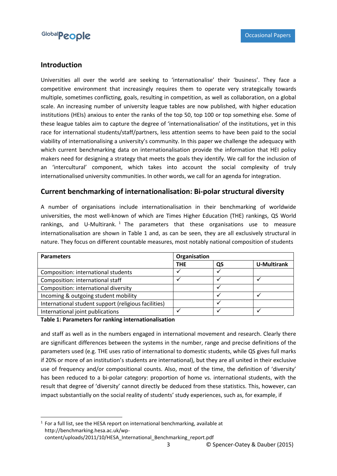

### **Introduction**

Universities all over the world are seeking to 'internationalise' their 'business'. They face a competitive environment that increasingly requires them to operate very strategically towards multiple, sometimes conflicting, goals, resulting in competition, as well as collaboration, on a global scale. An increasing number of university league tables are now published, with higher education institutions (HEIs) anxious to enter the ranks of the top 50, top 100 or top something else. Some of these league tables aim to capture the degree of 'internationalisation' of the institutions, yet in this race for international students/staff/partners, less attention seems to have been paid to the social viability of internationalising a university's community. In this paper we challenge the adequacy with which current benchmarking data on internationalisation provide the information that HEI policy makers need for designing a strategy that meets the goals they identify. We call for the inclusion of an 'intercultural' component, which takes into account the social complexity of truly internationalised university communities. In other words, we call for an agenda for integration.

### **Current benchmarking of internationalisation: Bi-polar structural diversity**

A number of organisations include internationalisation in their benchmarking of worldwide universities, the most well-known of which are Times Higher Education (THE) rankings, QS World rankings, and U-Multirank.<sup>1</sup> The parameters that these organisations use to measure internationalisation are shown in Table 1 and, as can be seen, they are all exclusively structural in nature. They focus on different countable measures, most notably national composition of students

| <b>Parameters</b>                                    | Organisation |    |                    |
|------------------------------------------------------|--------------|----|--------------------|
|                                                      | <b>THE</b>   | QS | <b>U-Multirank</b> |
| Composition: international students                  |              |    |                    |
| Composition: international staff                     |              |    |                    |
| Composition: international diversity                 |              |    |                    |
| Incoming & outgoing student mobility                 |              |    |                    |
| International student support (religious facilities) |              |    |                    |
| International joint publications                     |              |    |                    |

#### **Table 1: Parameters for ranking internationalisation**

**.** 

and staff as well as in the numbers engaged in international movement and research. Clearly there are significant differences between the systems in the number, range and precise definitions of the parameters used (e.g. THE uses ratio of international to domestic students, while QS gives full marks if 20% or more of an institution's students are international), but they are all united in their exclusive use of frequency and/or compositional counts. Also, most of the time, the definition of 'diversity' has been reduced to a bi-polar category: proportion of home vs. international students, with the result that degree of 'diversity' cannot directly be deduced from these statistics. This, however, can impact substantially on the social reality of students' study experiences, such as, for example, if

 $<sup>1</sup>$  For a full list, see the HESA report on international benchmarking, available at</sup> http://benchmarking.hesa.ac.uk/wpcontent/uploads/2011/10/HESA\_International\_Benchmarking\_report.pdf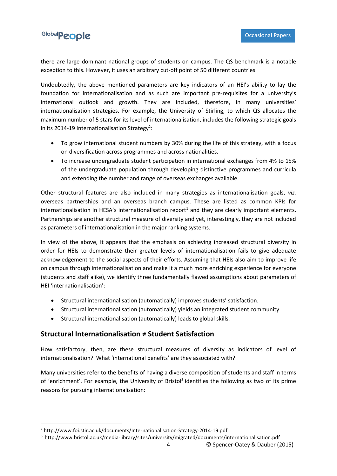

there are large dominant national groups of students on campus. The QS benchmark is a notable exception to this. However, it uses an arbitrary cut-off point of 50 different countries.

Undoubtedly, the above mentioned parameters are key indicators of an HEI's ability to lay the foundation for internationalisation and as such are important pre-requisites for a university's international outlook and growth. They are included, therefore, in many universities' internationalisation strategies. For example, the University of Stirling, to which QS allocates the maximum number of 5 stars for its level of internationalisation, includes the following strategic goals in its 2014-19 Internationalisation Strategy<sup>2</sup>:

- To grow international student numbers by 30% during the life of this strategy, with a focus on diversification across programmes and across nationalities.
- To increase undergraduate student participation in international exchanges from 4% to 15% of the undergraduate population through developing distinctive programmes and curricula and extending the number and range of overseas exchanges available.

Other structural features are also included in many strategies as internationalisation goals, *viz.* overseas partnerships and an overseas branch campus. These are listed as common KPIs for internationalisation in HESA's internationalisation report $<sup>1</sup>$  and they are clearly important elements.</sup> Partnerships are another structural measure of diversity and yet, interestingly, they are not included as parameters of internationalisation in the major ranking systems.

In view of the above, it appears that the emphasis on achieving increased structural diversity in order for HEIs to demonstrate their greater levels of internationalisation fails to give adequate acknowledgement to the social aspects of their efforts. Assuming that HEIs also aim to improve life on campus through internationalisation and make it a much more enriching experience for everyone (students and staff alike), we identify three fundamentally flawed assumptions about parameters of HEI 'internationalisation':

- Structural internationalisation (automatically) improves students' satisfaction.
- Structural internationalisation (automatically) yields an integrated student community.
- Structural internationalisation (automatically) leads to global skills.

## **Structural Internationalisation ≠ Student Satisfaction**

How satisfactory, then, are these structural measures of diversity as indicators of level of internationalisation? What 'international benefits' are they associated with?

Many universities refer to the benefits of having a diverse composition of students and staff in terms of 'enrichment'. For example, the University of Bristol<sup>3</sup> identifies the following as two of its prime reasons for pursuing internationalisation:

1

4 © Spencer-Oatey & Dauber (2015)

<sup>2</sup> http://www.foi.stir.ac.uk/documents/Internationalisation-Strategy-2014-19.pdf

<sup>3</sup> http://www.bristol.ac.uk/media-library/sites/university/migrated/documents/internationalisation.pdf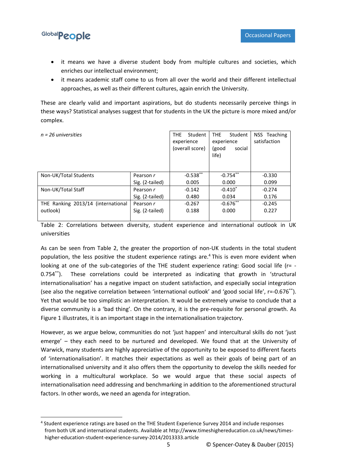

**.** 

- it means we have a diverse student body from multiple cultures and societies, which enriches our intellectual environment;
- it means academic staff come to us from all over the world and their different intellectual approaches, as well as their different cultures, again enrich the University.

These are clearly valid and important aspirations, but do students necessarily perceive things in these ways? Statistical analyses suggest that for students in the UK the picture is more mixed and/or complex.

| $n = 26$ universities              |                 | THE.<br>Student<br>experience<br>(overall score) | Student<br><b>THE</b><br>experience<br>(good<br>social<br>life) | NSS Teaching<br>satisfaction |
|------------------------------------|-----------------|--------------------------------------------------|-----------------------------------------------------------------|------------------------------|
| Non-UK/Total Students              | Pearson r       | $-0.538**$                                       | $-0.754$ **                                                     | $-0.330$                     |
|                                    | Sig. (2-tailed) | 0.005                                            | 0.000                                                           | 0.099                        |
| Non-UK/Total Staff                 | Pearson r       | $-0.142$                                         | $-0.410^*$                                                      | $-0.274$                     |
|                                    | Sig. (2-tailed) | 0.480                                            | 0.034                                                           | 0.176                        |
| THE Ranking 2013/14 (international | Pearson r       | $-0.267$                                         | $-0.676**$                                                      | $-0.245$                     |
| outlook)                           | Sig. (2-tailed) | 0.188                                            | 0.000                                                           | 0.227                        |
|                                    |                 |                                                  |                                                                 |                              |

Table 2: Correlations between diversity, student experience and international outlook in UK universities

As can be seen from Table 2, the greater the proportion of non-UK students in the total student population, the less positive the student experience ratings are.<sup>4</sup> This is even more evident when looking at one of the sub-categories of the THE student experience rating: Good social life (r= -0.754\*\*). These correlations could be interpreted as indicating that growth in 'structural internationalisation' has a negative impact on student satisfaction, and especially social integration (see also the negative correlation between 'international outlook' and 'good social life', r=-0.676\*\*). Yet that would be too simplistic an interpretation. It would be extremely unwise to conclude that a diverse community is a 'bad thing'. On the contrary, it is the pre-requisite for personal growth. As Figure 1 illustrates, it is an important stage in the internationalisation trajectory.

However, as we argue below, communities do not 'just happen' and intercultural skills do not 'just emerge' – they each need to be nurtured and developed. We found that at the University of Warwick, many students are highly appreciative of the opportunity to be exposed to different facets of 'internationalisation'. It matches their expectations as well as their goals of being part of an internationalised university and it also offers them the opportunity to develop the skills needed for working in a multicultural workplace. So we would argue that these social aspects of internationalisation need addressing and benchmarking in addition to the aforementioned structural factors. In other words, we need an agenda for integration.

<sup>4</sup> Student experience ratings are based on the THE Student Experience Survey 2014 and include responses from both UK and international students. Available at http://www.timeshighereducation.co.uk/news/timeshigher-education-student-experience-survey-2014/2013333.article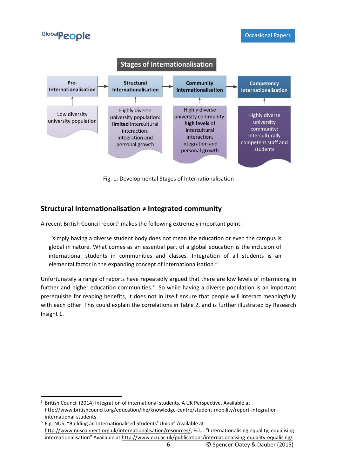

Fig. 1: Developmental Stages of Internationalisation

## **Structural Internationalisation ≠ Integrated community**

A recent British Council report<sup>5</sup> makes the following extremely important point:

"simply having a diverse student body does not mean the education or even the campus is global in nature. What comes as an essential part of a global education is the inclusion of international students in communities and classes. Integration of all students is an elemental factor in the expanding concept of internationalisation."

Unfortunately a range of reports have repeatedly argued that there are low levels of intermixing in further and higher education communities.<sup>6</sup> So while having a diverse population is an important prerequisite for reaping benefits, it does not in itself ensure that people will interact meaningfully with each other. This could explain the correlations in Table 2, and is further illustrated by Research Insight 1.

**<sup>.</sup>** <sup>5</sup> British Council (2014) Integration of international students. A UK Perspective. Available at http://www.britishcouncil.org/education/ihe/knowledge-centre/student-mobility/report-integrationinternational-students

<sup>6</sup> E.g. NUS: "Building an Internationalised Students' Union" Available at <http://www.nusconnect.org.uk/internationalisation/resources/>; ECU: "Internationalising equality, equalising internationalisation" Available at <http://www.ecu.ac.uk/publications/internationalising-equality-equalising/>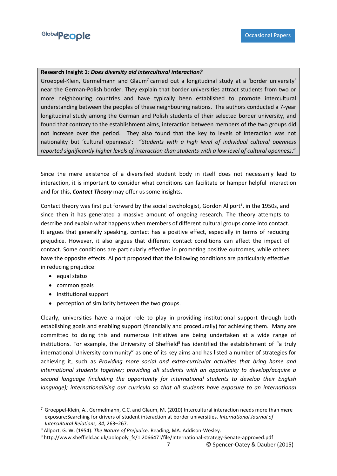#### **Research Insight 1***: Does diversity aid intercultural interaction?*

Groeppel-Klein, Germelmann and Glaum<sup>7</sup> carried out a longitudinal study at a 'border university' near the German-Polish border. They explain that border universities attract students from two or more neighbouring countries and have typically been established to promote intercultural understanding between the peoples of these neighbouring nations. The authors conducted a 7-year longitudinal study among the German and Polish students of their selected border university, and found that contrary to the establishment aims, interaction between members of the two groups did not increase over the period. They also found that the key to levels of interaction was not nationality but 'cultural openness': "*Students with a high level of individual cultural openness reported significantly higher levels of interaction than students with a low level of cultural openness*."

Since the mere existence of a diversified student body in itself does not necessarily lead to interaction, it is important to consider what conditions can facilitate or hamper helpful interaction and for this, *Contact Theory* may offer us some insights.

Contact theory was first put forward by the social psychologist, Gordon Allport<sup>8</sup>, in the 1950s, and since then it has generated a massive amount of ongoing research. The theory attempts to describe and explain what happens when members of different cultural groups come into contact. It argues that generally speaking, contact has a positive effect, especially in terms of reducing prejudice. However, it also argues that different contact conditions can affect the impact of contact. Some conditions are particularly effective in promoting positive outcomes, while others have the opposite effects. Allport proposed that the following conditions are particularly effective in reducing prejudice:

• equal status

**.** 

- common goals
- institutional support
- perception of similarity between the two groups.

Clearly, universities have a major role to play in providing institutional support through both establishing goals and enabling support (financially and procedurally) for achieving them. Many are committed to doing this and numerous initiatives are being undertaken at a wide range of institutions. For example, the University of Sheffield<sup>9</sup> has identified the establishment of "a truly international University community" as one of its key aims and has listed a number of strategies for achieving it, such as *Providing more social and extra-curricular activities that bring home and international students together*; *providing all students with an opportunity to develop/acquire a second language (including the opportunity for international students to develop their English language); internationalising our curricula so that all students have exposure to an international* 

 $7$  Groeppel-Klein, A., Germelmann, C.C. and Glaum, M. (2010) Intercultural interaction needs more than mere exposure:Searching for drivers of student interaction at border universities. *International Journal of Intercultural Relations, 34,* 263–267.

<sup>8</sup> Allport, G. W. (1954). *The Nature of Prejudice*. Reading, MA: Addison-Wesley.

<sup>9</sup> http://www.sheffield.ac.uk/polopoly\_fs/1.206647!/file/International-strategy-Senate-approved.pdf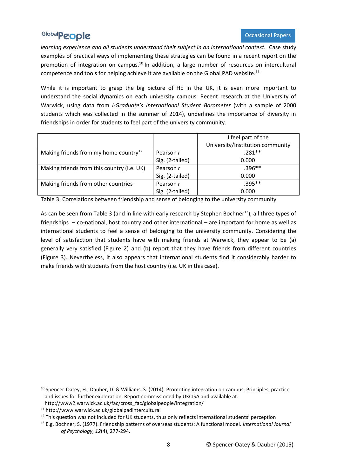*learning experience and all students understand their subject in an international context.* Case study examples of practical ways of implementing these strategies can be found in a recent report on the promotion of integration on campus.<sup>10</sup> In addition, a large number of resources on intercultural competence and tools for helping achieve it are available on the Global PAD website.<sup>11</sup>

While it is important to grasp the big picture of HE in the UK, it is even more important to understand the social dynamics on each university campus. Recent research at the University of Warwick, using data from *i-Graduate's International Student Barometer* (with a sample of 2000 students which was collected in the summer of 2014), underlines the importance of diversity in friendships in order for students to feel part of the university community.

|                                                   |                 | I feel part of the               |
|---------------------------------------------------|-----------------|----------------------------------|
|                                                   |                 | University/Institution community |
| Making friends from my home country <sup>12</sup> | Pearson r       | $.281**$                         |
|                                                   | Sig. (2-tailed) | 0.000                            |
| Making friends from this country (i.e. UK)        | Pearson r       | $.396**$                         |
|                                                   | Sig. (2-tailed) | 0.000                            |
| Making friends from other countries               | Pearson r       | $.395**$                         |
|                                                   | Sig. (2-tailed) | 0.000                            |

Table 3: Correlations between friendship and sense of belonging to the university community

As can be seen from Table 3 (and in line with early research by Stephen Bochner<sup>13</sup>), all three types of friendships – co-national, host country and other international – are important for home as well as international students to feel a sense of belonging to the university community. Considering the level of satisfaction that students have with making friends at Warwick, they appear to be (a) generally very satisfied (Figure 2) and (b) report that they have friends from different countries (Figure 3). Nevertheless, it also appears that international students find it considerably harder to make friends with students from the host country (i.e. UK in this case).

**.** 

<sup>10</sup> Spencer-Oatey, H., Dauber, D. & Williams, S. (2014). Promoting integration on campus: Principles, practice and issues for further exploration. Report commissioned by UKCISA and available at: http://www2.warwick.ac.uk/fac/cross\_fac/globalpeople/integration/

<sup>11</sup> http://www.warwick.ac.uk/globalpadintercultural

<sup>&</sup>lt;sup>12</sup> This question was not included for UK students, thus only reflects international students' perception

<sup>13</sup> E.g. Bochner, S. (1977). Friendship patterns of overseas students: A functional model. *International Journal of Psychology, 12*(4), 277-294.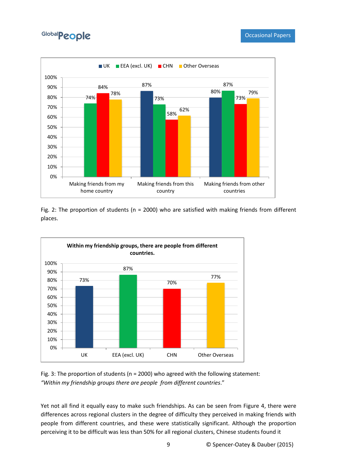

Fig. 2: The proportion of students (n = 2000) who are satisfied with making friends from different places.



Fig. 3: The proportion of students (n = 2000) who agreed with the following statement: *"Within my friendship groups there are people from different countries*."

Yet not all find it equally easy to make such friendships. As can be seen from Figure 4, there were differences across regional clusters in the degree of difficulty they perceived in making friends with people from different countries, and these were statistically significant. Although the proportion perceiving it to be difficult was less than 50% for all regional clusters, Chinese students found it

9 © Spencer-Oatey & Dauber (2015)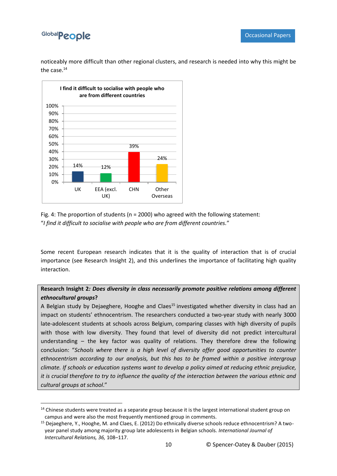**.** 

noticeably more difficult than other regional clusters, and research is needed into why this might be the case.<sup>14</sup>



Fig. 4: The proportion of students (n = 2000) who agreed with the following statement: "*I find it difficult to socialise with people who are from different countries.*"

Some recent European research indicates that it is the quality of interaction that is of crucial importance (see Research Insight 2), and this underlines the importance of facilitating high quality interaction.

### **Research Insight 2***: Does diversity in class necessarily promote positive relations among different ethnocultural groups***?**

A Belgian study by Dejaeghere, Hooghe and Claes<sup>15</sup> investigated whether diversity in class had an impact on students' ethnocentrism. The researchers conducted a two-year study with nearly 3000 late-adolescent students at schools across Belgium, comparing classes with high diversity of pupils with those with low diversity. They found that level of diversity did not predict intercultural understanding – the key factor was quality of relations. They therefore drew the following conclusion: "*Schools where there is a high level of diversity offer good opportunities to counter ethnocentrism according to our analysis, but this has to be framed within a positive intergroup climate. If schools or education systems want to develop a policy aimed at reducing ethnic prejudice, it is crucial therefore to try to influence the quality of the interaction between the various ethnic and cultural groups at school*."

<sup>&</sup>lt;sup>14</sup> Chinese students were treated as a separate group because it is the largest international student group on campus and were also the most frequently mentioned group in comments.

<sup>15</sup> Dejaeghere, Y., Hooghe, M. and Claes, E. (2012) Do ethnically diverse schools reduce ethnocentrism? A twoyear panel study among majority group late adolescents in Belgian schools. *International Journal of Intercultural Relations, 36,* 108–117.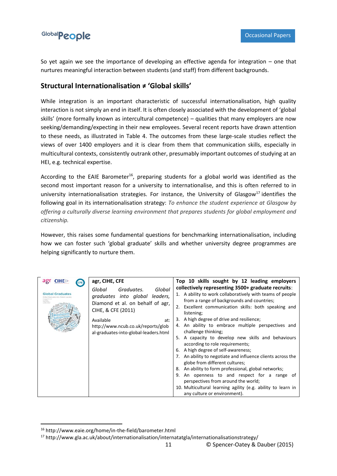So yet again we see the importance of developing an effective agenda for integration – one that nurtures meaningful interaction between students (and staff) from different backgrounds.

### **Structural Internationalisation ≠ 'Global skills'**

While integration is an important characteristic of successful internationalisation, high quality interaction is not simply an end in itself. It is often closely associated with the development of 'global skills' (more formally known as intercultural competence) – qualities that many employers are now seeking/demanding/expecting in their new employees. Several recent reports have drawn attention to these needs, as illustrated in Table 4. The outcomes from these large-scale studies reflect the views of over 1400 employers and it is clear from them that communication skills, especially in multicultural contexts, consistently outrank other, presumably important outcomes of studying at an HEI, e.g. technical expertise.

According to the EAIE Barometer<sup>16</sup>, preparing students for a global world was identified as the second most important reason for a university to internationalise, and this is often referred to in university internationalisation strategies. For instance, the University of Glasgow<sup>17</sup> identifies the following goal in its internationalisation strategy: *To enhance the student experience at Glasgow by offering a culturally diverse learning environment that prepares students for global employment and citizenship.*

However, this raises some fundamental questions for benchmarking internationalisation, including how we can foster such 'global graduate' skills and whether university degree programmes are helping significantly to nurture them.

| agr CIHE<br><b>CFE</b><br><b>Global Graduates</b><br>clustes into Global Lau | agr, CIHE, CFE<br>Graduates.<br>Global<br>Global<br>graduates into global leaders,<br>Diamond et al. on behalf of agr,<br>CIHE, & CFE (2011)<br>Available<br>at:<br>http://www.ncub.co.uk/reports/glob<br>al-graduates-into-global-leaders.html | Top 10 skills sought by 12 leading employers<br>collectively representing 3500+ graduate recruits:<br>1. A ability to work collaboratively with teams of people<br>from a range of backgrounds and countries;<br>2. Excellent communication skills: both speaking and<br>listening;<br>A high degree of drive and resilience;<br>3.<br>4. An ability to embrace multiple perspectives and<br>challenge thinking;<br>A capacity to develop new skills and behaviours<br>5.<br>according to role requirements;<br>A high degree of self-awareness;<br>7. An ability to negotiate and influence clients across the<br>globe from different cultures;<br>An ability to form professional, global networks;<br>8.<br>9. An openness to and respect for a range of<br>perspectives from around the world;<br>10. Multicultural learning agility (e.g. ability to learn in<br>any culture or environment). |
|------------------------------------------------------------------------------|-------------------------------------------------------------------------------------------------------------------------------------------------------------------------------------------------------------------------------------------------|-----------------------------------------------------------------------------------------------------------------------------------------------------------------------------------------------------------------------------------------------------------------------------------------------------------------------------------------------------------------------------------------------------------------------------------------------------------------------------------------------------------------------------------------------------------------------------------------------------------------------------------------------------------------------------------------------------------------------------------------------------------------------------------------------------------------------------------------------------------------------------------------------------|

1

<sup>16</sup> http://www.eaie.org/home/in-the-field/barometer.html

<sup>17</sup> http://www.gla.ac.uk/about/internationalisation/internatatgla/internationalisationstrategy/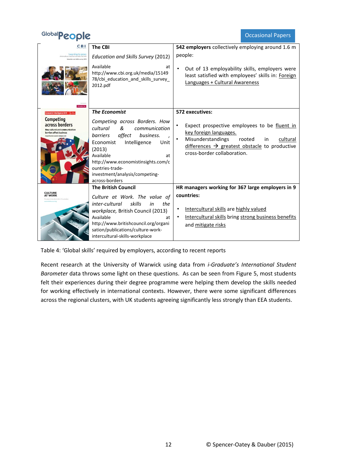Occasional Papers

| <b>CBI</b>                                                                                | The CBI                                                                                                                                                                                                                                                                                  | 542 employers collectively employing around 1.6 m                                                                                                                                                                   |
|-------------------------------------------------------------------------------------------|------------------------------------------------------------------------------------------------------------------------------------------------------------------------------------------------------------------------------------------------------------------------------------------|---------------------------------------------------------------------------------------------------------------------------------------------------------------------------------------------------------------------|
| Learning to grow:<br>Education and skills sorvey 2012                                     | <b>Education and Skills Survey (2012)</b>                                                                                                                                                                                                                                                | people:                                                                                                                                                                                                             |
|                                                                                           | Available<br>at<br>http://www.cbi.org.uk/media/15149<br>78/cbi education and skills survey<br>2012.pdf                                                                                                                                                                                   | Out of 13 employability skills, employers were<br>least satisfied with employees' skills in: Foreign<br>Languages + Cultural Awareness                                                                              |
| <b>Economist Intelligence Unit</b>                                                        | <b>The Economist</b>                                                                                                                                                                                                                                                                     | 572 executives:                                                                                                                                                                                                     |
| Competing<br>across borders<br>How cultural and communication<br>barriers affect business | Competing across Borders. How<br>cultural<br>&<br>communication<br>affect<br><i>barriers</i><br>business.<br>Economist<br>Intelligence<br>Unit<br>(2013)<br>Available<br>at<br>http://www.economistinsights.com/c<br>ountries-trade-<br>investment/analysis/competing-<br>across-borders | Expect prospective employees to be fluent in<br>key foreign languages.<br>Misunderstandings<br>cultural<br>rooted<br>in<br>$differences \rightarrow greatest obstacle$ to productive<br>cross-border collaboration. |
|                                                                                           | <b>The British Council</b>                                                                                                                                                                                                                                                               | HR managers working for 367 large employers in 9                                                                                                                                                                    |
| <b>CULTURE</b><br><b>AT WORK</b>                                                          | Culture at Work. The value of<br>inter-cultural<br>skills<br>the<br>in<br>workplace, British Council (2013)<br>Available<br>at                                                                                                                                                           | countries:<br>Intercultural skills are highly valued<br>Intercultural skills bring strong business benefits                                                                                                         |
|                                                                                           | http://www.britishcouncil.org/organi<br>sation/publications/culture-work-<br>intercultural-skills-workplace                                                                                                                                                                              | and mitigate risks                                                                                                                                                                                                  |

Table 4: 'Global skills' required by employers, according to recent reports

Recent research at the University of Warwick using data from *i-Graduate's International Student Barometer* data throws some light on these questions. As can be seen from Figure 5, most students felt their experiences during their degree programme were helping them develop the skills needed for working effectively in international contexts. However, there were some significant differences across the regional clusters, with UK students agreeing significantly less strongly than EEA students.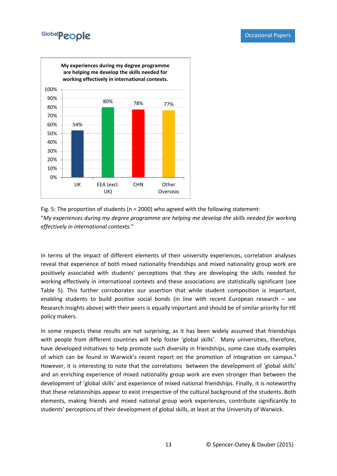



In terms of the impact of different elements of their university experiences, correlation analyses reveal that experience of both mixed nationality friendships and mixed nationality group work are positively associated with students' perceptions that they are developing the skills needed for working effectively in international contexts and these associations are statistically significant (see Table 5). This further corroborates our assertion that while student composition is important, enabling students to build positive social bonds (in line with recent European research – see Research Insights above) with their peers is equally important and should be of similar priority for HE policy makers.

In some respects these results are not surprising, as it has been widely assumed that friendships with people from different countries will help foster 'global skills'. Many universities, therefore, have developed initiatives to help promote such diversity in friendships, some case study examples of which can be found in Warwick's recent report on the promotion of integration on campus.<sup>9</sup> However, it is interesting to note that the correlations between the development of 'global skills' and an enriching experience of mixed nationality group work are even stronger than between the development of 'global skills' and experience of mixed national friendships. Finally, it is noteworthy that these relationships appear to exist irrespective of the cultural background of the students. Both elements, making friends and mixed national group work experiences, contribute significantly to students' perceptions of their development of global skills, at least at the University of Warwick.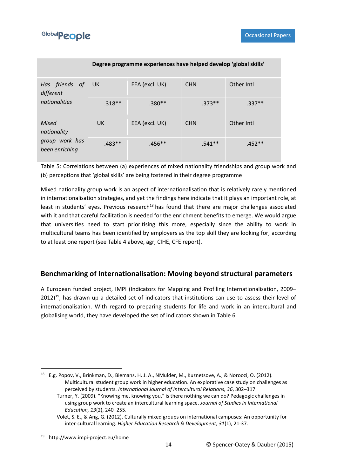|                                                          | Degree programme experiences have helped develop 'global skills' |                |            |            |
|----------------------------------------------------------|------------------------------------------------------------------|----------------|------------|------------|
| Has friends of<br>different<br>nationalities             | UK.                                                              | EEA (excl. UK) | <b>CHN</b> | Other Intl |
|                                                          | $.318**$                                                         | $.380**$       | $.373**$   | $.337**$   |
| Mixed<br>nationality<br>group work has<br>been enriching | UK.                                                              | EEA (excl. UK) | <b>CHN</b> | Other Intl |
|                                                          | $.483**$                                                         | $.456**$       | $.541**$   | $.452**$   |

Table 5: Correlations between (a) experiences of mixed nationality friendships and group work and (b) perceptions that 'global skills' are being fostered in their degree programme

Mixed nationality group work is an aspect of internationalisation that is relatively rarely mentioned in internationalisation strategies, and yet the findings here indicate that it plays an important role, at least in students' eyes. Previous research<sup>18</sup> has found that there are major challenges associated with it and that careful facilitation is needed for the enrichment benefits to emerge. We would argue that universities need to start prioritising this more, especially since the ability to work in multicultural teams has been identified by employers as the top skill they are looking for, according to at least one report (see Table 4 above, agr, CIHE, CFE report).

## **Benchmarking of Internationalisation: Moving beyond structural parameters**

A European funded project, IMPI (Indicators for Mapping and Profiling Internationalisation, 2009–  $2012$ <sup>19</sup>, has drawn up a detailed set of indicators that institutions can use to assess their level of internationalisation. With regard to preparing students for life and work in an intercultural and globalising world, they have developed the set of indicators shown in Table 6.

**.** 

<sup>18</sup> E.g. Popov, V., Brinkman, D., Biemans, H. J. A., NMulder, M., Kuznetsove, A., & Noroozi, O. (2012). Multicultural student group work in higher education. An explorative case study on challenges as perceived by students. *International Journal of Intercultural Relations, 36*, 302–317.

Turner, Y. (2009). "Knowing me, knowing you," is there nothing we can do? Pedagogic challenges in using group work to create an intercultural learning space. *Journal of Studies in International Education, 13*(2), 240–255.

Volet, S. E., & Ang, G. (2012). Culturally mixed groups on international campuses: An opportunity for inter-cultural learning. *Higher Education Research & Development, 31*(1), 21-37.

<sup>19</sup> http://www.impi-project.eu/home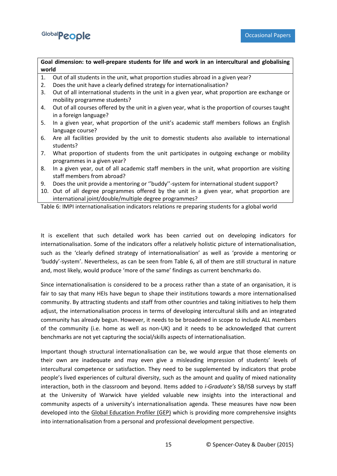

**Goal dimension: to well-prepare students for life and work in an intercultural and globalising world**

- 1. Out of all students in the unit, what proportion studies abroad in a given year?
- 2. Does the unit have a clearly defined strategy for internationalisation?
- 3. Out of all international students in the unit in a given year, what proportion are exchange or mobility programme students?
- 4. Out of all courses offered by the unit in a given year, what is the proportion of courses taught in a foreign language?
- 5. In a given year, what proportion of the unit's academic staff members follows an English language course?
- 6. Are all facilities provided by the unit to domestic students also available to international students?
- 7. What proportion of students from the unit participates in outgoing exchange or mobility programmes in a given year?
- 8. In a given year, out of all academic staff members in the unit, what proportion are visiting staff members from abroad?
- 9. Does the unit provide a mentoring or ''buddy''-system for international student support?
- 10. Out of all degree programmes offered by the unit in a given year, what proportion are international joint/double/multiple degree programmes?

Table 6: IMPI internationalisation indicators relations re preparing students for a global world

It is excellent that such detailed work has been carried out on developing indicators for internationalisation. Some of the indicators offer a relatively holistic picture of internationalisation, such as the 'clearly defined strategy of internationalisation' as well as 'provide a mentoring or 'buddy'-system'. Nevertheless, as can be seen from Table 6, all of them are still structural in nature and, most likely, would produce 'more of the same' findings as current benchmarks do.

Since internationalisation is considered to be a process rather than a state of an organisation, it is fair to say that many HEIs have begun to shape their institutions towards a more internationalised community. By attracting students and staff from other countries and taking initiatives to help them adjust, the internationalisation process in terms of developing intercultural skills and an integrated community has already begun. However, it needs to be broadened in scope to include ALL members of the community (i.e. home as well as non-UK) and it needs to be acknowledged that current benchmarks are not yet capturing the social/skills aspects of internationalisation.

Important though structural internationalisation can be, we would argue that those elements on their own are inadequate and may even give a misleading impression of students' levels of intercultural competence or satisfaction. They need to be supplemented by indicators that probe people's lived experiences of cultural diversity, such as the amount and quality of mixed nationality interaction, both in the classroom and beyond. Items added to *i-Graduate's* SB/ISB surveys by staff at the University of Warwick have yielded valuable new insights into the interactional and community aspects of a university's internationalisation agenda. These measures have now been developed into the [Global Education Profiler \(GEP\)](https://warwick.ac.uk/fac/cross_fac/globalpeople2/he_institutions/gep/) which is providing more comprehensive insights into internationalisation from a personal and professional development perspective.